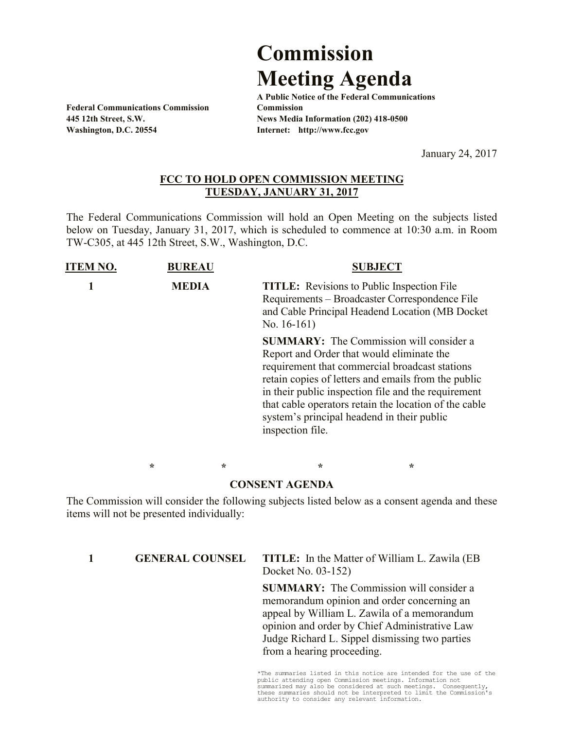## **Commission Meeting Agenda**

**Federal Communications Commission Commission Washington, D.C. 20554 Internet: http://www.fcc.gov**

**A Public Notice of the Federal Communications 445 12th Street, S.W. News Media Information (202) 418-0500**

January 24, 2017

## **FCC TO HOLD OPEN COMMISSION MEETING TUESDAY, JANUARY 31, 2017**

The Federal Communications Commission will hold an Open Meeting on the subjects listed below on Tuesday, January 31, 2017, which is scheduled to commence at 10:30 a.m. in Room TW-C305, at 445 12th Street, S.W., Washington, D.C.

| <b>ITEM NO.</b> | <b>BUREAU</b> |   |                                                                                                             | <b>SUBJECT</b>                                                                                                                                                                                                                                                          |
|-----------------|---------------|---|-------------------------------------------------------------------------------------------------------------|-------------------------------------------------------------------------------------------------------------------------------------------------------------------------------------------------------------------------------------------------------------------------|
|                 | <b>MEDIA</b>  |   | <b>TITLE:</b> Revisions to Public Inspection File<br>No. $16-161$ )                                         | Requirements – Broadcaster Correspondence File<br>and Cable Principal Headend Location (MB Docket)                                                                                                                                                                      |
|                 |               |   | Report and Order that would eliminate the<br>system's principal headend in their public<br>inspection file. | <b>SUMMARY:</b> The Commission will consider a<br>requirement that commercial broadcast stations<br>retain copies of letters and emails from the public<br>in their public inspection file and the requirement<br>that cable operators retain the location of the cable |
|                 | $\star$       | ÷ | ∗                                                                                                           | ÷                                                                                                                                                                                                                                                                       |

## **CONSENT AGENDA**

The Commission will consider the following subjects listed below as a consent agenda and these items will not be presented individually:

## **1 GENERAL COUNSEL TITLE:** In the Matter of William L. Zawila (EB Docket No. 03-152)

**SUMMARY:** The Commission will consider a memorandum opinion and order concerning an appeal by William L. Zawila of a memorandum opinion and order by Chief Administrative Law Judge Richard L. Sippel dismissing two parties from a hearing proceeding.

\*The summaries listed in this notice are intended for the use of the public attending open Commission meetings. Information not summarized may also be considered at such meetings. Consequently, these summaries should not be interpreted to limit the Commission's authority to consider any relevant information.